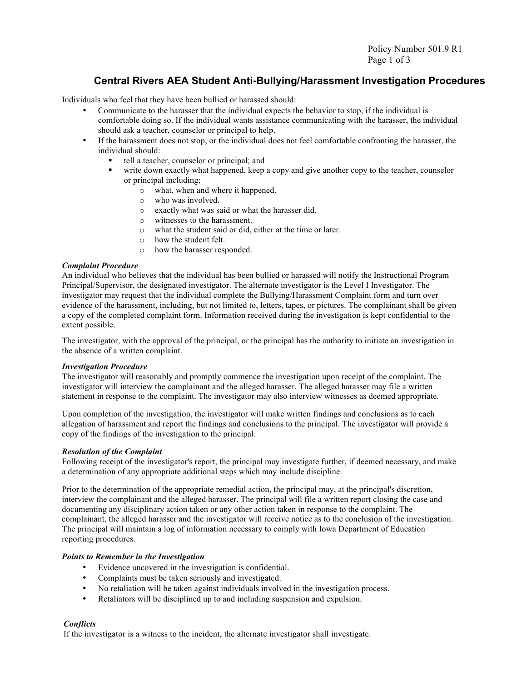Policy Number 501.9 R1 Page 1 of 3

### **Central Rivers AEA Student Anti-Bullying/Harassment Investigation Procedures**

Individuals who feel that they have been bullied or harassed should:

- Communicate to the harasser that the individual expects the behavior to stop, if the individual is comfortable doing so. If the individual wants assistance communicating with the harasser, the individual should ask a teacher, counselor or principal to help.
- If the harassment does not stop, or the individual does not feel comfortable confronting the harasser, the individual should:
	- tell a teacher, counselor or principal; and
	- write down exactly what happened, keep a copy and give another copy to the teacher, counselor or principal including;
		- o what, when and where it happened.
		- o who was involved.
		- o exactly what was said or what the harasser did.
		- o witnesses to the harassment.
		- o what the student said or did, either at the time or later.
		- o how the student felt.
		- o how the harasser responded.

#### *Complaint Procedure*

An individual who believes that the individual has been bullied or harassed will notify the Instructional Program Principal/Supervisor, the designated investigator. The alternate investigator is the Level I Investigator. The investigator may request that the individual complete the Bullying/Harassment Complaint form and turn over evidence of the harassment, including, but not limited to, letters, tapes, or pictures. The complainant shall be given a copy of the completed complaint form. Information received during the investigation is kept confidential to the extent possible.

The investigator, with the approval of the principal, or the principal has the authority to initiate an investigation in the absence of a written complaint.

#### *Investigation Procedure*

The investigator will reasonably and promptly commence the investigation upon receipt of the complaint. The investigator will interview the complainant and the alleged harasser. The alleged harasser may file a written statement in response to the complaint. The investigator may also interview witnesses as deemed appropriate.

Upon completion of the investigation, the investigator will make written findings and conclusions as to each allegation of harassment and report the findings and conclusions to the principal. The investigator will provide a copy of the findings of the investigation to the principal.

#### *Resolution of the Complaint*

Following receipt of the investigator's report, the principal may investigate further, if deemed necessary, and make a determination of any appropriate additional steps which may include discipline.

Prior to the determination of the appropriate remedial action, the principal may, at the principal's discretion, interview the complainant and the alleged harasser. The principal will file a written report closing the case and documenting any disciplinary action taken or any other action taken in response to the complaint. The complainant, the alleged harasser and the investigator will receive notice as to the conclusion of the investigation. The principal will maintain a log of information necessary to comply with Iowa Department of Education reporting procedures.

#### *Points to Remember in the Investigation*

- Evidence uncovered in the investigation is confidential.
- Complaints must be taken seriously and investigated.
- No retaliation will be taken against individuals involved in the investigation process.
- Retaliators will be disciplined up to and including suspension and expulsion.

### *Conflicts*

If the investigator is a witness to the incident, the alternate investigator shall investigate.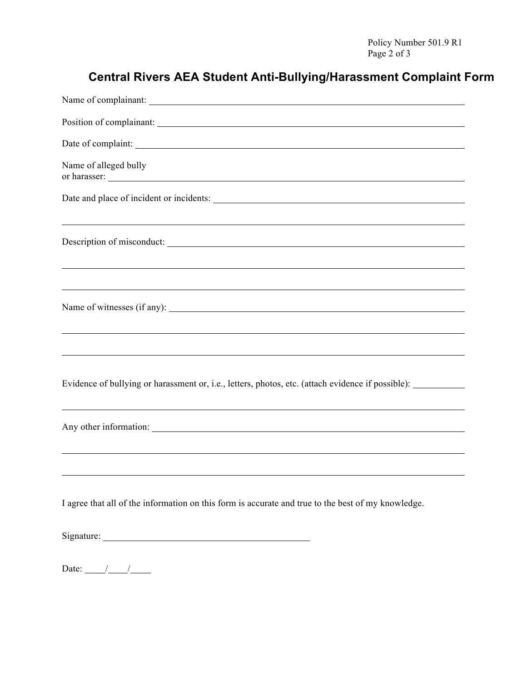## **Central Rivers AEA Student Anti-Bullying/Harassment Complaint Form**

| Name of alleged bully<br>or harasser:                                                                                                                                                                                          |
|--------------------------------------------------------------------------------------------------------------------------------------------------------------------------------------------------------------------------------|
|                                                                                                                                                                                                                                |
| Description of misconduct:                                                                                                                                                                                                     |
| ,我们也不会有什么。""我们的人,我们也不会有什么?""我们的人,我们也不会有什么?""我们的人,我们也不会有什么?""我们的人,我们也不会有什么?""我们的人<br>Name of witnesses (if any):                                                                                                                |
| Evidence of bullying or harassment or, i.e., letters, photos, etc. (attach evidence if possible): ___________                                                                                                                  |
| Any other information: New York Contract the Contract of the Contract of the Contract of the Contract of the Contract of the Contract of the Contract of the Contract of the Contract of the Contract of the Contract of the C |
| I agree that all of the information on this form is accurate and true to the best of my knowledge.                                                                                                                             |
|                                                                                                                                                                                                                                |
|                                                                                                                                                                                                                                |

Date:  $\frac{1}{\sqrt{1-\frac{1}{2}}}$